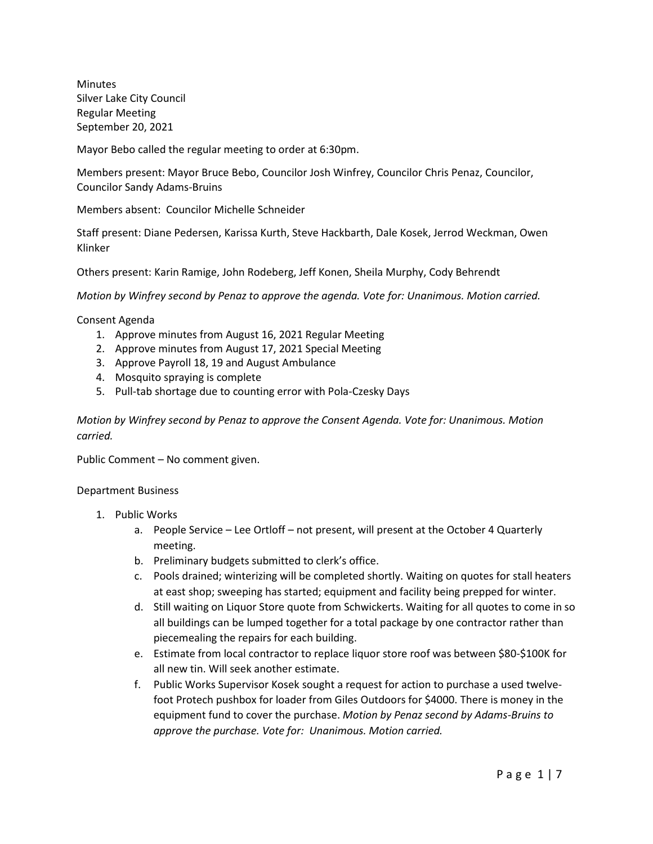Minutes Silver Lake City Council Regular Meeting September 20, 2021

Mayor Bebo called the regular meeting to order at 6:30pm.

Members present: Mayor Bruce Bebo, Councilor Josh Winfrey, Councilor Chris Penaz, Councilor, Councilor Sandy Adams-Bruins

Members absent: Councilor Michelle Schneider

Staff present: Diane Pedersen, Karissa Kurth, Steve Hackbarth, Dale Kosek, Jerrod Weckman, Owen Klinker

Others present: Karin Ramige, John Rodeberg, Jeff Konen, Sheila Murphy, Cody Behrendt

*Motion by Winfrey second by Penaz to approve the agenda. Vote for: Unanimous. Motion carried.*

Consent Agenda

- 1. Approve minutes from August 16, 2021 Regular Meeting
- 2. Approve minutes from August 17, 2021 Special Meeting
- 3. Approve Payroll 18, 19 and August Ambulance
- 4. Mosquito spraying is complete
- 5. Pull-tab shortage due to counting error with Pola-Czesky Days

*Motion by Winfrey second by Penaz to approve the Consent Agenda. Vote for: Unanimous. Motion carried.*

Public Comment – No comment given.

## Department Business

- 1. Public Works
	- a. People Service Lee Ortloff not present, will present at the October 4 Quarterly meeting.
	- b. Preliminary budgets submitted to clerk's office.
	- c. Pools drained; winterizing will be completed shortly. Waiting on quotes for stall heaters at east shop; sweeping has started; equipment and facility being prepped for winter.
	- d. Still waiting on Liquor Store quote from Schwickerts. Waiting for all quotes to come in so all buildings can be lumped together for a total package by one contractor rather than piecemealing the repairs for each building.
	- e. Estimate from local contractor to replace liquor store roof was between \$80-\$100K for all new tin. Will seek another estimate.
	- f. Public Works Supervisor Kosek sought a request for action to purchase a used twelvefoot Protech pushbox for loader from Giles Outdoors for \$4000. There is money in the equipment fund to cover the purchase. *Motion by Penaz second by Adams-Bruins to approve the purchase. Vote for: Unanimous. Motion carried.*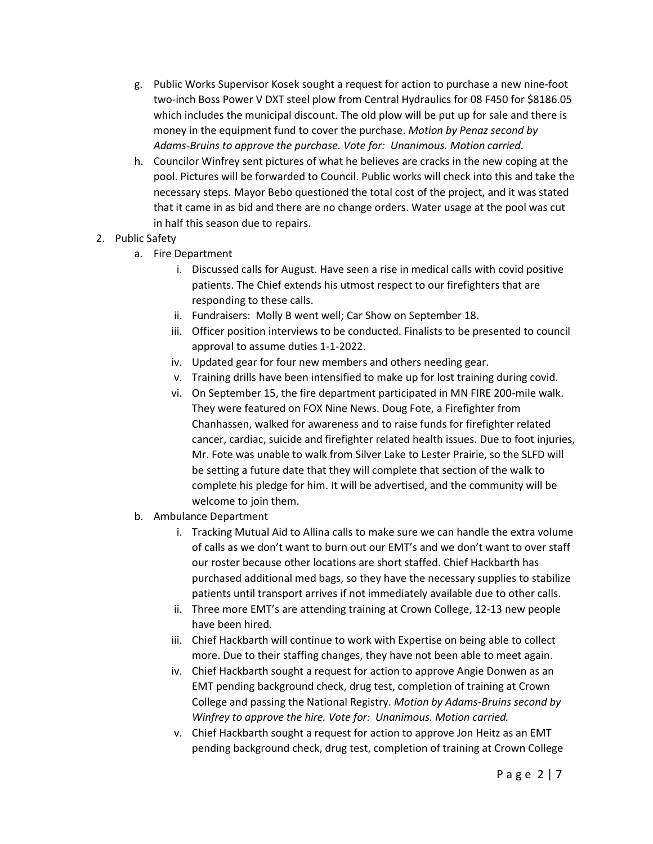- g. Public Works Supervisor Kosek sought a request for action to purchase a new nine-foot two-inch Boss Power V DXT steel plow from Central Hydraulics for 08 F450 for \$8186.05 which includes the municipal discount. The old plow will be put up for sale and there is money in the equipment fund to cover the purchase. *Motion by Penaz second by Adams-Bruins to approve the purchase. Vote for: Unanimous. Motion carried.*
- h. Councilor Winfrey sent pictures of what he believes are cracks in the new coping at the pool. Pictures will be forwarded to Council. Public works will check into this and take the necessary steps. Mayor Bebo questioned the total cost of the project, and it was stated that it came in as bid and there are no change orders. Water usage at the pool was cut in half this season due to repairs.
- 2. Public Safety
	- a. Fire Department
		- i. Discussed calls for August. Have seen a rise in medical calls with covid positive patients. The Chief extends his utmost respect to our firefighters that are responding to these calls.
		- ii. Fundraisers: Molly B went well; Car Show on September 18.
		- iii. Officer position interviews to be conducted. Finalists to be presented to council approval to assume duties 1-1-2022.
		- iv. Updated gear for four new members and others needing gear.
		- v. Training drills have been intensified to make up for lost training during covid.
		- vi. On September 15, the fire department participated in MN FIRE 200-mile walk. They were featured on FOX Nine News. Doug Fote, a Firefighter from Chanhassen, walked for awareness and to raise funds for firefighter related cancer, cardiac, suicide and firefighter related health issues. Due to foot injuries, Mr. Fote was unable to walk from Silver Lake to Lester Prairie, so the SLFD will be setting a future date that they will complete that section of the walk to complete his pledge for him. It will be advertised, and the community will be welcome to join them.
	- b. Ambulance Department
		- i. Tracking Mutual Aid to Allina calls to make sure we can handle the extra volume of calls as we don't want to burn out our EMT's and we don't want to over staff our roster because other locations are short staffed. Chief Hackbarth has purchased additional med bags, so they have the necessary supplies to stabilize patients until transport arrives if not immediately available due to other calls.
		- ii. Three more EMT's are attending training at Crown College, 12-13 new people have been hired.
		- iii. Chief Hackbarth will continue to work with Expertise on being able to collect more. Due to their staffing changes, they have not been able to meet again.
		- iv. Chief Hackbarth sought a request for action to approve Angie Donwen as an EMT pending background check, drug test, completion of training at Crown College and passing the National Registry. *Motion by Adams-Bruins second by Winfrey to approve the hire. Vote for: Unanimous. Motion carried.*
		- v. Chief Hackbarth sought a request for action to approve Jon Heitz as an EMT pending background check, drug test, completion of training at Crown College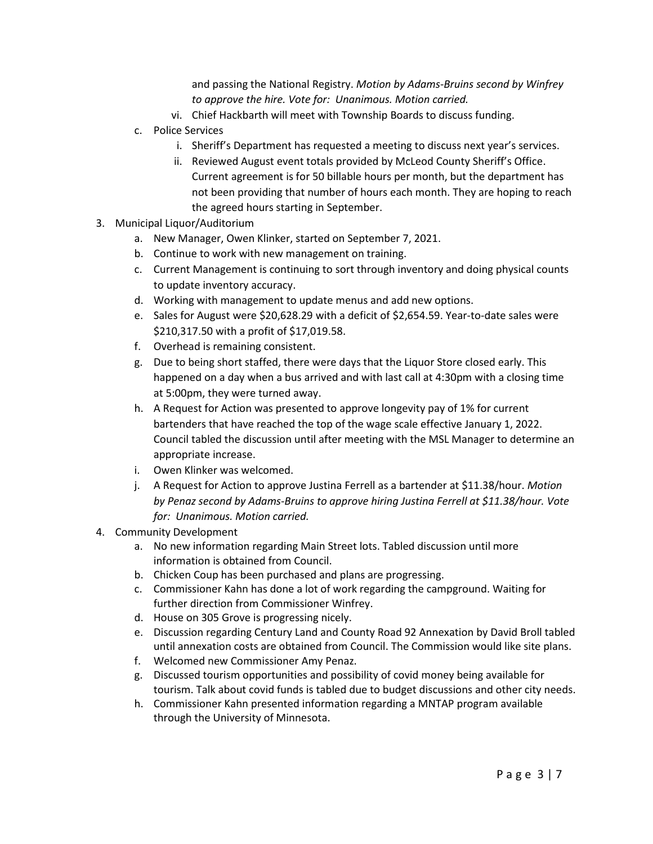and passing the National Registry. *Motion by Adams-Bruins second by Winfrey to approve the hire. Vote for: Unanimous. Motion carried.*

- vi. Chief Hackbarth will meet with Township Boards to discuss funding.
- c. Police Services
	- i. Sheriff's Department has requested a meeting to discuss next year's services.
	- ii. Reviewed August event totals provided by McLeod County Sheriff's Office. Current agreement is for 50 billable hours per month, but the department has not been providing that number of hours each month. They are hoping to reach the agreed hours starting in September.
- 3. Municipal Liquor/Auditorium
	- a. New Manager, Owen Klinker, started on September 7, 2021.
	- b. Continue to work with new management on training.
	- c. Current Management is continuing to sort through inventory and doing physical counts to update inventory accuracy.
	- d. Working with management to update menus and add new options.
	- e. Sales for August were \$20,628.29 with a deficit of \$2,654.59. Year-to-date sales were \$210,317.50 with a profit of \$17,019.58.
	- f. Overhead is remaining consistent.
	- g. Due to being short staffed, there were days that the Liquor Store closed early. This happened on a day when a bus arrived and with last call at 4:30pm with a closing time at 5:00pm, they were turned away.
	- h. A Request for Action was presented to approve longevity pay of 1% for current bartenders that have reached the top of the wage scale effective January 1, 2022. Council tabled the discussion until after meeting with the MSL Manager to determine an appropriate increase.
	- i. Owen Klinker was welcomed.
	- j. A Request for Action to approve Justina Ferrell as a bartender at \$11.38/hour. *Motion by Penaz second by Adams-Bruins to approve hiring Justina Ferrell at \$11.38/hour. Vote for: Unanimous. Motion carried.*
- 4. Community Development
	- a. No new information regarding Main Street lots. Tabled discussion until more information is obtained from Council.
	- b. Chicken Coup has been purchased and plans are progressing.
	- c. Commissioner Kahn has done a lot of work regarding the campground. Waiting for further direction from Commissioner Winfrey.
	- d. House on 305 Grove is progressing nicely.
	- e. Discussion regarding Century Land and County Road 92 Annexation by David Broll tabled until annexation costs are obtained from Council. The Commission would like site plans.
	- f. Welcomed new Commissioner Amy Penaz.
	- g. Discussed tourism opportunities and possibility of covid money being available for tourism. Talk about covid funds is tabled due to budget discussions and other city needs.
	- h. Commissioner Kahn presented information regarding a MNTAP program available through the University of Minnesota.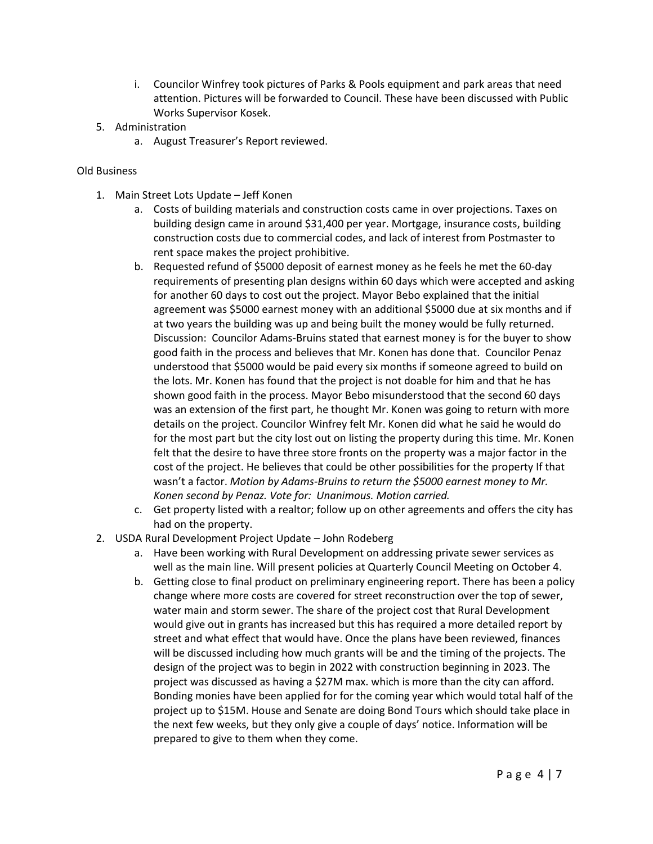- i. Councilor Winfrey took pictures of Parks & Pools equipment and park areas that need attention. Pictures will be forwarded to Council. These have been discussed with Public Works Supervisor Kosek.
- 5. Administration
	- a. August Treasurer's Report reviewed.

## Old Business

- 1. Main Street Lots Update Jeff Konen
	- a. Costs of building materials and construction costs came in over projections. Taxes on building design came in around \$31,400 per year. Mortgage, insurance costs, building construction costs due to commercial codes, and lack of interest from Postmaster to rent space makes the project prohibitive.
	- b. Requested refund of \$5000 deposit of earnest money as he feels he met the 60-day requirements of presenting plan designs within 60 days which were accepted and asking for another 60 days to cost out the project. Mayor Bebo explained that the initial agreement was \$5000 earnest money with an additional \$5000 due at six months and if at two years the building was up and being built the money would be fully returned. Discussion: Councilor Adams-Bruins stated that earnest money is for the buyer to show good faith in the process and believes that Mr. Konen has done that. Councilor Penaz understood that \$5000 would be paid every six months if someone agreed to build on the lots. Mr. Konen has found that the project is not doable for him and that he has shown good faith in the process. Mayor Bebo misunderstood that the second 60 days was an extension of the first part, he thought Mr. Konen was going to return with more details on the project. Councilor Winfrey felt Mr. Konen did what he said he would do for the most part but the city lost out on listing the property during this time. Mr. Konen felt that the desire to have three store fronts on the property was a major factor in the cost of the project. He believes that could be other possibilities for the property If that wasn't a factor. *Motion by Adams-Bruins to return the \$5000 earnest money to Mr. Konen second by Penaz. Vote for: Unanimous. Motion carried.*
	- c. Get property listed with a realtor; follow up on other agreements and offers the city has had on the property.
- 2. USDA Rural Development Project Update John Rodeberg
	- a. Have been working with Rural Development on addressing private sewer services as well as the main line. Will present policies at Quarterly Council Meeting on October 4.
	- b. Getting close to final product on preliminary engineering report. There has been a policy change where more costs are covered for street reconstruction over the top of sewer, water main and storm sewer. The share of the project cost that Rural Development would give out in grants has increased but this has required a more detailed report by street and what effect that would have. Once the plans have been reviewed, finances will be discussed including how much grants will be and the timing of the projects. The design of the project was to begin in 2022 with construction beginning in 2023. The project was discussed as having a \$27M max. which is more than the city can afford. Bonding monies have been applied for for the coming year which would total half of the project up to \$15M. House and Senate are doing Bond Tours which should take place in the next few weeks, but they only give a couple of days' notice. Information will be prepared to give to them when they come.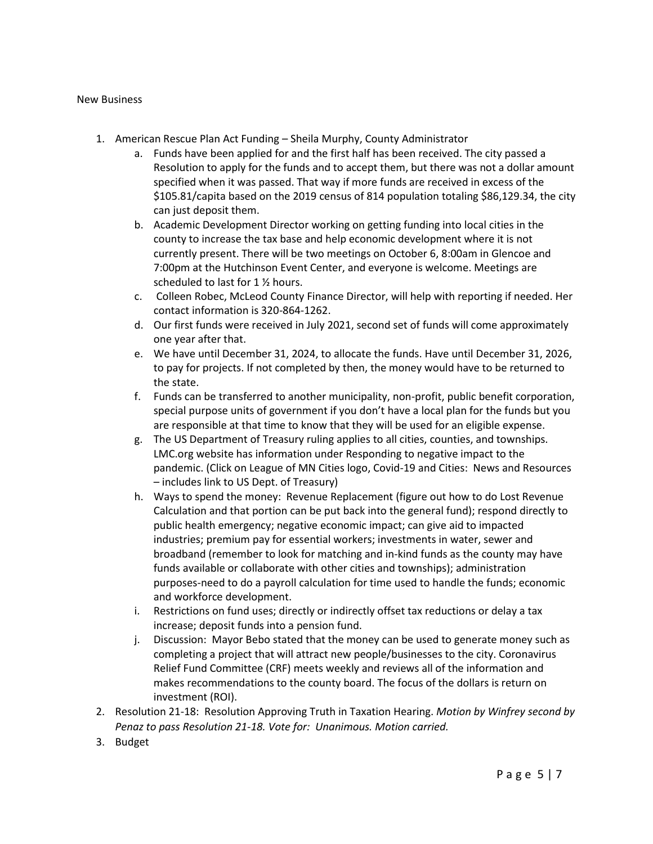## New Business

- 1. American Rescue Plan Act Funding Sheila Murphy, County Administrator
	- a. Funds have been applied for and the first half has been received. The city passed a Resolution to apply for the funds and to accept them, but there was not a dollar amount specified when it was passed. That way if more funds are received in excess of the \$105.81/capita based on the 2019 census of 814 population totaling \$86,129.34, the city can just deposit them.
	- b. Academic Development Director working on getting funding into local cities in the county to increase the tax base and help economic development where it is not currently present. There will be two meetings on October 6, 8:00am in Glencoe and 7:00pm at the Hutchinson Event Center, and everyone is welcome. Meetings are scheduled to last for 1 ½ hours.
	- c. Colleen Robec, McLeod County Finance Director, will help with reporting if needed. Her contact information is 320-864-1262.
	- d. Our first funds were received in July 2021, second set of funds will come approximately one year after that.
	- e. We have until December 31, 2024, to allocate the funds. Have until December 31, 2026, to pay for projects. If not completed by then, the money would have to be returned to the state.
	- f. Funds can be transferred to another municipality, non-profit, public benefit corporation, special purpose units of government if you don't have a local plan for the funds but you are responsible at that time to know that they will be used for an eligible expense.
	- g. The US Department of Treasury ruling applies to all cities, counties, and townships. LMC.org website has information under Responding to negative impact to the pandemic. (Click on League of MN Cities logo, Covid-19 and Cities: News and Resources – includes link to US Dept. of Treasury)
	- h. Ways to spend the money: Revenue Replacement (figure out how to do Lost Revenue Calculation and that portion can be put back into the general fund); respond directly to public health emergency; negative economic impact; can give aid to impacted industries; premium pay for essential workers; investments in water, sewer and broadband (remember to look for matching and in-kind funds as the county may have funds available or collaborate with other cities and townships); administration purposes-need to do a payroll calculation for time used to handle the funds; economic and workforce development.
	- i. Restrictions on fund uses; directly or indirectly offset tax reductions or delay a tax increase; deposit funds into a pension fund.
	- j. Discussion: Mayor Bebo stated that the money can be used to generate money such as completing a project that will attract new people/businesses to the city. Coronavirus Relief Fund Committee (CRF) meets weekly and reviews all of the information and makes recommendations to the county board. The focus of the dollars is return on investment (ROI).
- 2. Resolution 21-18: Resolution Approving Truth in Taxation Hearing. *Motion by Winfrey second by Penaz to pass Resolution 21-18. Vote for: Unanimous. Motion carried.*
- 3. Budget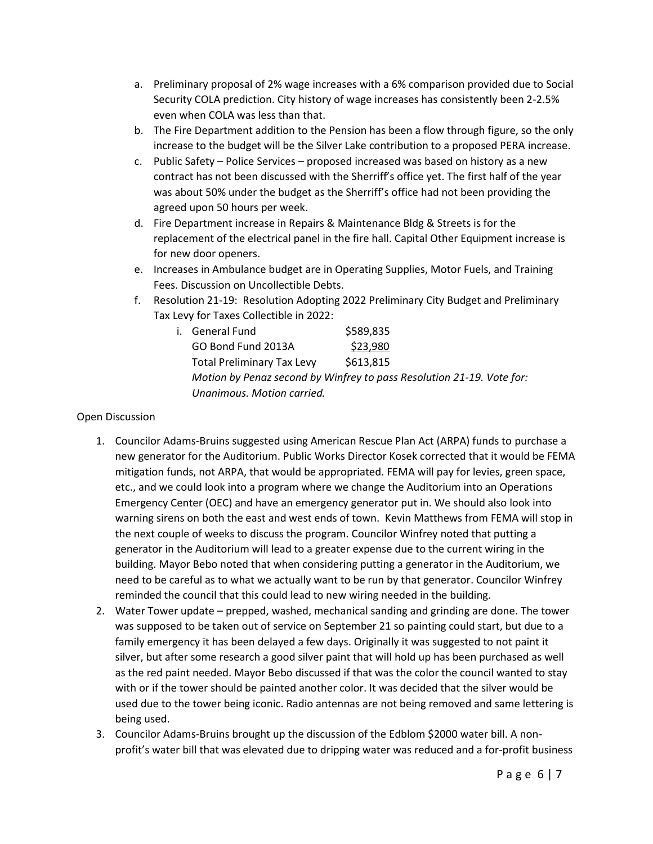- a. Preliminary proposal of 2% wage increases with a 6% comparison provided due to Social Security COLA prediction. City history of wage increases has consistently been 2-2.5% even when COLA was less than that.
- b. The Fire Department addition to the Pension has been a flow through figure, so the only increase to the budget will be the Silver Lake contribution to a proposed PERA increase.
- c. Public Safety Police Services proposed increased was based on history as a new contract has not been discussed with the Sherriff's office yet. The first half of the year was about 50% under the budget as the Sherriff's office had not been providing the agreed upon 50 hours per week.
- d. Fire Department increase in Repairs & Maintenance Bldg & Streets is for the replacement of the electrical panel in the fire hall. Capital Other Equipment increase is for new door openers.
- e. Increases in Ambulance budget are in Operating Supplies, Motor Fuels, and Training Fees. Discussion on Uncollectible Debts.
- f. Resolution 21-19: Resolution Adopting 2022 Preliminary City Budget and Preliminary Tax Levy for Taxes Collectible in 2022:

| i. General Fund                                                       | \$589,835 |
|-----------------------------------------------------------------------|-----------|
| GO Bond Fund 2013A                                                    | \$23,980  |
| <b>Total Preliminary Tax Levy</b>                                     | \$613,815 |
| Motion by Penaz second by Winfrey to pass Resolution 21-19. Vote for: |           |
| Unanimous. Motion carried.                                            |           |

## Open Discussion

- 1. Councilor Adams-Bruins suggested using American Rescue Plan Act (ARPA) funds to purchase a new generator for the Auditorium. Public Works Director Kosek corrected that it would be FEMA mitigation funds, not ARPA, that would be appropriated. FEMA will pay for levies, green space, etc., and we could look into a program where we change the Auditorium into an Operations Emergency Center (OEC) and have an emergency generator put in. We should also look into warning sirens on both the east and west ends of town. Kevin Matthews from FEMA will stop in the next couple of weeks to discuss the program. Councilor Winfrey noted that putting a generator in the Auditorium will lead to a greater expense due to the current wiring in the building. Mayor Bebo noted that when considering putting a generator in the Auditorium, we need to be careful as to what we actually want to be run by that generator. Councilor Winfrey reminded the council that this could lead to new wiring needed in the building.
- 2. Water Tower update prepped, washed, mechanical sanding and grinding are done. The tower was supposed to be taken out of service on September 21 so painting could start, but due to a family emergency it has been delayed a few days. Originally it was suggested to not paint it silver, but after some research a good silver paint that will hold up has been purchased as well as the red paint needed. Mayor Bebo discussed if that was the color the council wanted to stay with or if the tower should be painted another color. It was decided that the silver would be used due to the tower being iconic. Radio antennas are not being removed and same lettering is being used.
- 3. Councilor Adams-Bruins brought up the discussion of the Edblom \$2000 water bill. A nonprofit's water bill that was elevated due to dripping water was reduced and a for-profit business